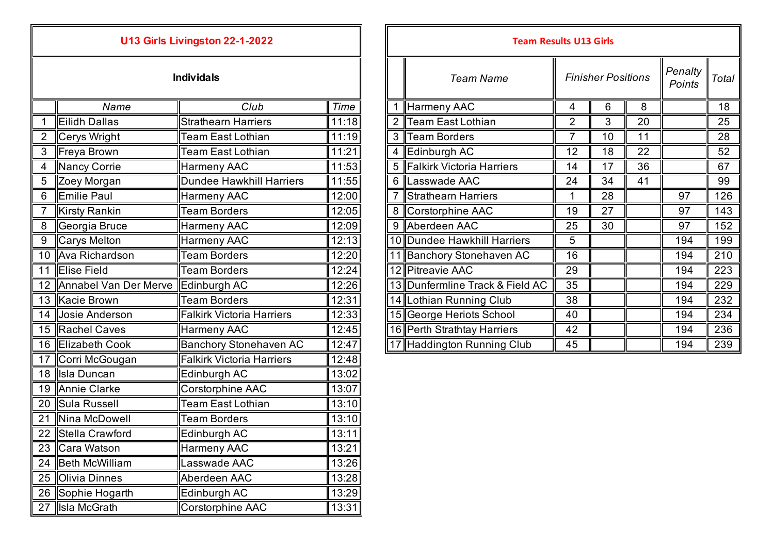| U13 Girls Livingston 22-1-2022 |                            |                                  |             |  | <b>Team Results U13 Girls</b> |                                 |                 |                   |
|--------------------------------|----------------------------|----------------------------------|-------------|--|-------------------------------|---------------------------------|-----------------|-------------------|
|                                |                            | <b>Individals</b>                |             |  |                               | <b>Team Name</b>                |                 | <b>Finisher P</b> |
|                                | Name                       | Club                             | <b>Time</b> |  |                               | Harmeny AAC                     | 4               | $6\phantom{1}$    |
| 1                              | Eilidh Dallas              | <b>Strathearn Harriers</b>       | 11:18       |  | $\overline{2}$                | Team East Lothian               | $\overline{2}$  | 3                 |
| $\overline{2}$                 | Cerys Wright               | <b>Team East Lothian</b>         | 11:19       |  | 3                             | Team Borders                    | $\overline{7}$  | 10                |
| 3                              | Freya Brown                | <b>Team East Lothian</b>         | 11:21       |  | 4                             | Edinburgh AC                    | 12              | 18                |
| 4                              | Nancy Corrie               | <b>Harmeny AAC</b>               | 11:53       |  | 5                             | Falkirk Victoria Harriers       | 14              | 17                |
| 5                              | Zoey Morgan                | <b>Dundee Hawkhill Harriers</b>  | 11:55       |  | 6                             | Lasswade AAC                    | $\overline{24}$ | $\overline{34}$   |
| 6                              | <b>Emilie Paul</b>         | <b>Harmeny AAC</b>               | 12:00       |  |                               | <b>Strathearn Harriers</b>      | 1               | 28                |
| 7                              | <b>Kirsty Rankin</b>       | <b>Team Borders</b>              | 12:05       |  | 8                             | Corstorphine AAC                | 19              | 27                |
| 8                              | Georgia Bruce              | Harmeny AAC                      | 12:09       |  | 9                             | Aberdeen AAC                    | 25              | 30                |
| 9                              | Carys Melton               | <b>Harmeny AAC</b>               | 12:13       |  |                               | 10 Dundee Hawkhill Harriers     | 5               |                   |
|                                | 10 Ava Richardson          | <b>Team Borders</b>              | 12:20       |  |                               | 11 Banchory Stonehaven AC       | 16              |                   |
|                                | 11 Elise Field             | <b>Team Borders</b>              | 12:24       |  |                               | 12 Pitreavie AAC                | 29              |                   |
|                                | 12   Annabel Van Der Merve | Edinburgh AC                     | 12:26       |  |                               | 13 Dunfermline Track & Field AC | 35              |                   |
|                                | 13 Kacie Brown             | <b>Team Borders</b>              | 12:31       |  |                               | 14  Lothian Running Club        | 38              |                   |
|                                | 14 Josie Anderson          | <b>Falkirk Victoria Harriers</b> | 12:33       |  |                               | 15 George Heriots School        | 40              |                   |
|                                | 15 Rachel Caves            | Harmeny AAC                      | 12:45       |  |                               | 16 Perth Strathtay Harriers     | 42              |                   |
|                                | 16 Elizabeth Cook          | <b>Banchory Stonehaven AC</b>    | 12:47       |  |                               | 17 Haddington Running Club      | 45              |                   |
| 17                             | Corri McGougan             | <b>Falkirk Victoria Harriers</b> | 12:48       |  |                               |                                 |                 |                   |
|                                | 18 Isla Duncan             | Edinburgh AC                     | 13:02       |  |                               |                                 |                 |                   |
| 19                             | Annie Clarke               | Corstorphine AAC                 | 13:07       |  |                               |                                 |                 |                   |
|                                | 20 Sula Russell            | <b>Team East Lothian</b>         | 13:10       |  |                               |                                 |                 |                   |
| 21                             | Nina McDowell              | <b>Team Borders</b>              | 13:10       |  |                               |                                 |                 |                   |
| 22                             | Stella Crawford            | Edinburgh AC                     | 13:11       |  |                               |                                 |                 |                   |
|                                | 23 Cara Watson             | <b>Harmeny AAC</b>               | 13:21       |  |                               |                                 |                 |                   |
|                                | 24 Beth McWilliam          | Lasswade AAC                     | 13:26       |  |                               |                                 |                 |                   |
| 25                             | <b>Olivia Dinnes</b>       | Aberdeen AAC                     | 13:28       |  |                               |                                 |                 |                   |
|                                | 26 Sophie Hogarth          | Edinburgh AC                     | 13:29       |  |                               |                                 |                 |                   |
|                                | 27 Isla McGrath            | <b>Corstorphine AAC</b>          | 13:31       |  |                               |                                 |                 |                   |

|                 |                          | U13 Girls Livingston 22-1-2022   |       |     | <b>Team Results U13 Girls</b>   |                |                           |    |                   |       |
|-----------------|--------------------------|----------------------------------|-------|-----|---------------------------------|----------------|---------------------------|----|-------------------|-------|
|                 |                          | <b>Individals</b>                |       |     | <b>Team Name</b>                |                | <b>Finisher Positions</b> |    | Penalty<br>Points | Total |
|                 | Name                     | Club                             | Time  |     | Harmeny AAC                     | 4              | 6                         | 8  |                   | 18    |
|                 | Eilidh Dallas            | <b>Strathearn Harriers</b>       | 11:18 |     | <b>Team East Lothian</b>        | $\overline{2}$ | 3                         | 20 |                   | 25    |
|                 | Cerys Wright             | <b>Team East Lothian</b>         | 11:19 | 3 I | <b>Team Borders</b>             |                | 10                        | 11 |                   | 28    |
| 3               | Freya Brown              | <b>Team East Lothian</b>         | 11:21 |     | 4 Edinburgh AC                  | 12             | 18                        | 22 |                   | 52    |
|                 | Nancy Corrie             | <b>Harmeny AAC</b>               | 11:53 |     | 5 Falkirk Victoria Harriers     | 14             | 17                        | 36 |                   | 67    |
| $\overline{5}$  | <b>Zoey Morgan</b>       | Dundee Hawkhill Harriers         | 11:55 |     | 6 Lasswade AAC                  | 24             | 34                        | 41 |                   | 99    |
| $6\phantom{1}6$ | Emilie Paul              | Harmeny AAC                      | 12:00 |     | <b>Strathearn Harriers</b>      |                | 28                        |    | 97                | 126   |
|                 | Kirsty Rankin            | <b>Team Borders</b>              | 12:05 |     | 8 Corstorphine AAC              | 19             | 27                        |    | 97                | 143   |
| $\,8\,$         | Georgia Bruce            | <b>Harmeny AAC</b>               | 12:09 |     | 9 Aberdeen AAC                  | 25             | 30                        |    | 97                | 152   |
| 9               | Carys Melton             | Harmeny AAC                      | 12:13 |     | 10 Dundee Hawkhill Harriers     | 5              |                           |    | 194               | 199   |
|                 | 10 Ava Richardson        | <b>Team Borders</b>              | 12:20 |     | 11 Banchory Stonehaven AC       | 16             |                           |    | 194               | 210   |
| 11              | Elise Field              | <b>Team Borders</b>              | 12:24 |     | 12 Pitreavie AAC                | 29             |                           |    | 194               | 223   |
|                 | 12 Annabel Van Der Merve | Edinburgh AC                     | 12:26 |     | 13 Dunfermline Track & Field AC | 35             |                           |    | 194               | 229   |
|                 | 13 Kacie Brown           | <b>Team Borders</b>              | 12:31 |     | 14 Lothian Running Club         | 38             |                           |    | 194               | 232   |
|                 | 14 Josie Anderson        | <b>Falkirk Victoria Harriers</b> | 12:33 |     | 15 George Heriots School        | 40             |                           |    | 194               | 234   |
|                 | 15 Rachel Caves          | <b>Harmeny AAC</b>               | 12:45 |     | 16 Perth Strathtay Harriers     | 42             |                           |    | 194               | 236   |
|                 | 16 Elizabeth Cook        | <b>Banchory Stonehaven AC</b>    | 12:47 |     | 17 Haddington Running Club      | 45             |                           |    | 194               | 239   |
|                 |                          |                                  |       |     |                                 |                |                           |    |                   |       |